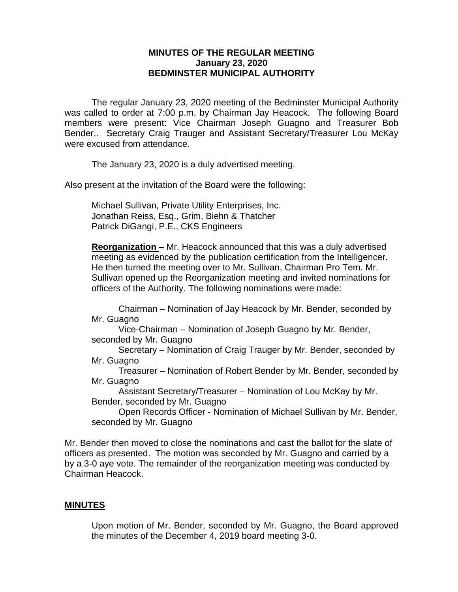### **MINUTES OF THE REGULAR MEETING January 23, 2020 BEDMINSTER MUNICIPAL AUTHORITY**

The regular January 23, 2020 meeting of the Bedminster Municipal Authority was called to order at 7:00 p.m. by Chairman Jay Heacock. The following Board members were present: Vice Chairman Joseph Guagno and Treasurer Bob Bender,. Secretary Craig Trauger and Assistant Secretary/Treasurer Lou McKay were excused from attendance.

The January 23, 2020 is a duly advertised meeting.

Also present at the invitation of the Board were the following:

Michael Sullivan, Private Utility Enterprises, Inc. Jonathan Reiss, Esq., Grim, Biehn & Thatcher Patrick DiGangi, P.E., CKS Engineers

**Reorganization –** Mr. Heacock announced that this was a duly advertised meeting as evidenced by the publication certification from the Intelligencer. He then turned the meeting over to Mr. Sullivan, Chairman Pro Tem. Mr. Sullivan opened up the Reorganization meeting and invited nominations for officers of the Authority. The following nominations were made:

Chairman – Nomination of Jay Heacock by Mr. Bender, seconded by Mr. Guagno

Vice-Chairman – Nomination of Joseph Guagno by Mr. Bender, seconded by Mr. Guagno

Secretary – Nomination of Craig Trauger by Mr. Bender, seconded by Mr. Guagno

Treasurer – Nomination of Robert Bender by Mr. Bender, seconded by Mr. Guagno

Assistant Secretary/Treasurer – Nomination of Lou McKay by Mr. Bender, seconded by Mr. Guagno

Open Records Officer - Nomination of Michael Sullivan by Mr. Bender, seconded by Mr. Guagno

Mr. Bender then moved to close the nominations and cast the ballot for the slate of officers as presented. The motion was seconded by Mr. Guagno and carried by a by a 3-0 aye vote. The remainder of the reorganization meeting was conducted by Chairman Heacock.

#### **MINUTES**

Upon motion of Mr. Bender, seconded by Mr. Guagno, the Board approved the minutes of the December 4, 2019 board meeting 3-0.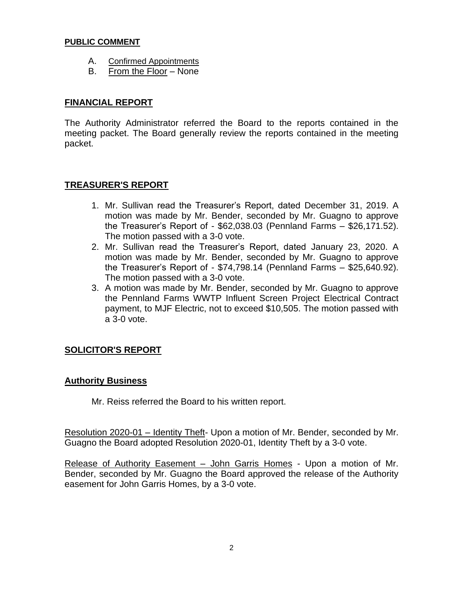#### **PUBLIC COMMENT**

- A. Confirmed Appointments
- B. From the Floor None

# **FINANCIAL REPORT**

The Authority Administrator referred the Board to the reports contained in the meeting packet. The Board generally review the reports contained in the meeting packet.

# **TREASURER'S REPORT**

- 1. Mr. Sullivan read the Treasurer's Report, dated December 31, 2019. A motion was made by Mr. Bender, seconded by Mr. Guagno to approve the Treasurer's Report of - \$62,038.03 (Pennland Farms – \$26,171.52). The motion passed with a 3-0 vote.
- 2. Mr. Sullivan read the Treasurer's Report, dated January 23, 2020. A motion was made by Mr. Bender, seconded by Mr. Guagno to approve the Treasurer's Report of - \$74,798.14 (Pennland Farms – \$25,640.92). The motion passed with a 3-0 vote.
- 3. A motion was made by Mr. Bender, seconded by Mr. Guagno to approve the Pennland Farms WWTP Influent Screen Project Electrical Contract payment, to MJF Electric, not to exceed \$10,505. The motion passed with a 3-0 vote.

# **SOLICITOR'S REPORT**

# **Authority Business**

Mr. Reiss referred the Board to his written report.

Resolution 2020-01 – Identity Theft- Upon a motion of Mr. Bender, seconded by Mr. Guagno the Board adopted Resolution 2020-01, Identity Theft by a 3-0 vote.

Release of Authority Easement – John Garris Homes - Upon a motion of Mr. Bender, seconded by Mr. Guagno the Board approved the release of the Authority easement for John Garris Homes, by a 3-0 vote.